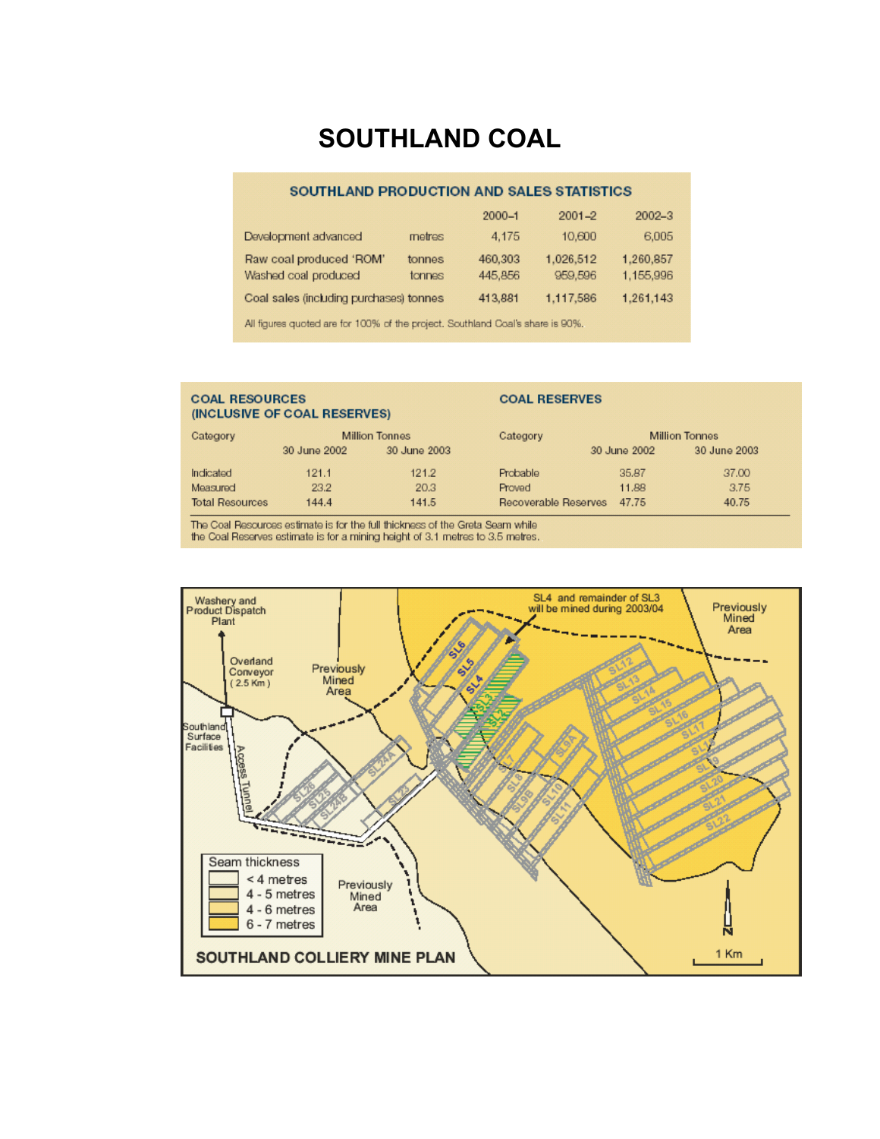# **SOUTHLAND COAL**

#### SOUTHLAND PRODUCTION AND SALES STATISTICS

|                                         |        | $2000 - 1$ | $2001 - 2$ | $2002 - 3$ |
|-----------------------------------------|--------|------------|------------|------------|
| Development advanced                    | metres | 4.175      | 10,600     | 6,005      |
| Raw coal produced 'ROM'                 | tonnes | 460,303    | 1.026,512  | 1,260,857  |
| Washed coal produced                    | tonnes | 445,856    | 959,596    | 1,155,996  |
| Coal sales (including purchases) tonnes |        | 413,881    | 1,117,586  | 1,261,143  |

All figures quoted are for 100% of the project. Southland Coal's share is 90%.

#### **COAL RESOURCES COAL RESERVES** (INCLUSIVE OF COAL RESERVES) Category **Million Tonnes** Category **Million Tonnes** 30 June 2002 30 June 2003 30 June 2002 30 June 2003 Indicated  $121.1$  $121.2$ Probable 35,87 37.00 20.3 Measured 23.2 Proved 11.88 3.75 **Total Resources** 144.4 141.5 Recoverable Reserves 47.75 40.75

The Coal Resources estimate is for the full thickness of the Greta Seam while the Coal Reserves estimate is for a mining height of 3.1 metres to 3.5 metres.

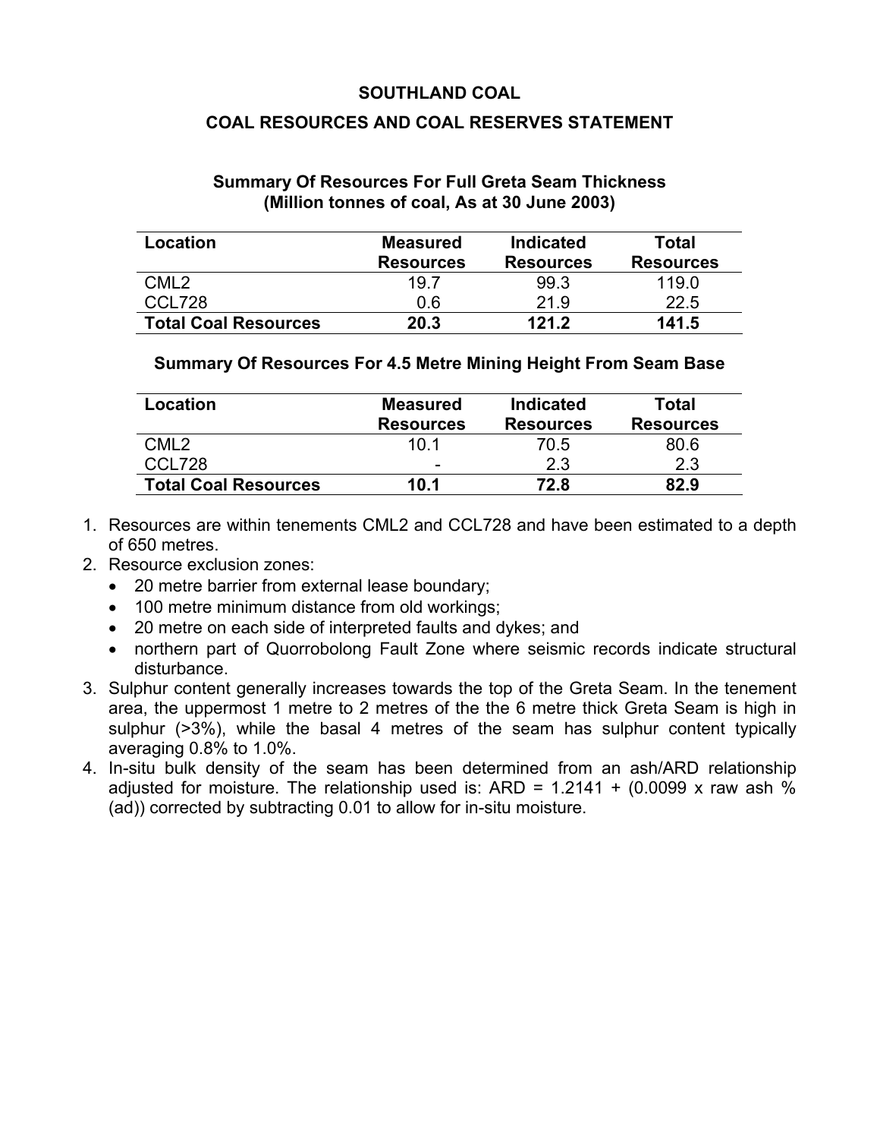### **SOUTHLAND COAL**

### **COAL RESOURCES AND COAL RESERVES STATEMENT**

#### **Summary Of Resources For Full Greta Seam Thickness (Million tonnes of coal, As at 30 June 2003)**

| Location                    | <b>Measured</b>  | <b>Indicated</b> | Total            |
|-----------------------------|------------------|------------------|------------------|
|                             | <b>Resources</b> | <b>Resources</b> | <b>Resources</b> |
| CML <sub>2</sub>            | 19.7             | 993              | 119 O            |
| CCL728                      | 0.6              | 21.9             | 22.5             |
| <b>Total Coal Resources</b> | 20.3             | 121 2            | 141.5            |

#### **Summary Of Resources For 4.5 Metre Mining Height From Seam Base**

| Location                    | <b>Measured</b>  | <b>Indicated</b> | Total            |
|-----------------------------|------------------|------------------|------------------|
|                             | <b>Resources</b> | <b>Resources</b> | <b>Resources</b> |
| CML2                        | 10 1             | 70.5             | 80.6             |
| CCL728                      | -                | 2.3              | 2.3              |
| <b>Total Coal Resources</b> | 10.1             | 72.8             | 82.9             |

- 1. Resources are within tenements CML2 and CCL728 and have been estimated to a depth of 650 metres.
- 2. Resource exclusion zones:
	- 20 metre barrier from external lease boundary;
	- 100 metre minimum distance from old workings;
	- 20 metre on each side of interpreted faults and dykes; and
	- northern part of Quorrobolong Fault Zone where seismic records indicate structural disturbance.
- 3. Sulphur content generally increases towards the top of the Greta Seam. In the tenement area, the uppermost 1 metre to 2 metres of the the 6 metre thick Greta Seam is high in sulphur (>3%), while the basal 4 metres of the seam has sulphur content typically averaging 0.8% to 1.0%.
- 4. In-situ bulk density of the seam has been determined from an ash/ARD relationship adjusted for moisture. The relationship used is: ARD =  $1.2141 + (0.0099 \times \text{raw ash } \%)$ (ad)) corrected by subtracting 0.01 to allow for in-situ moisture.